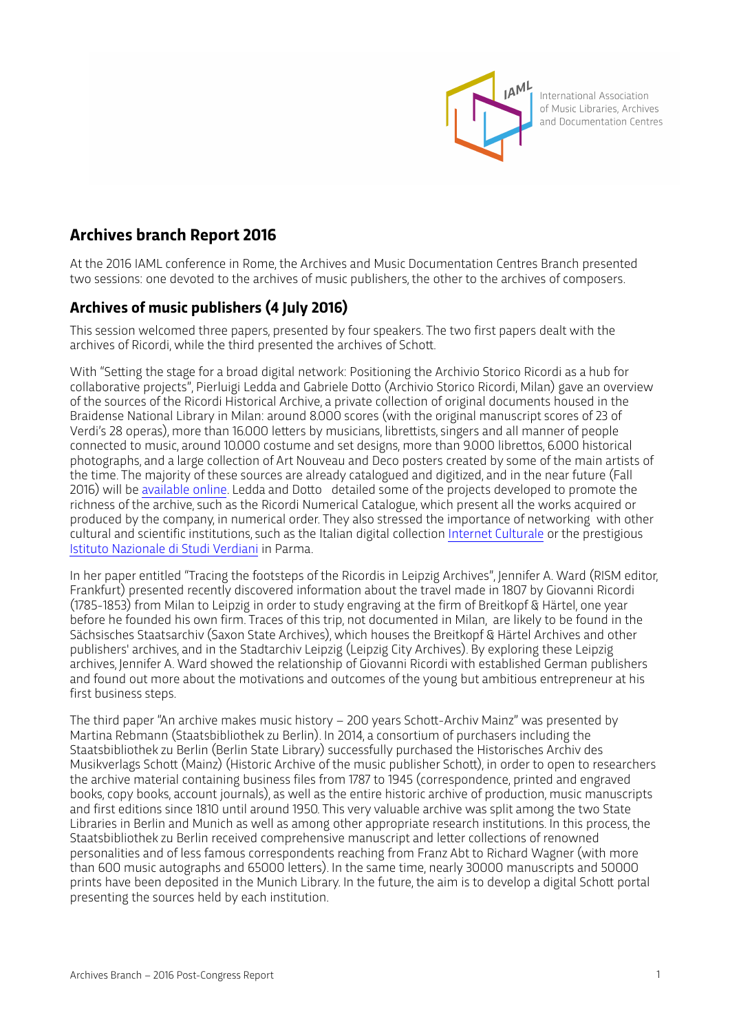

International Association of Music Libraries, Archives and Documentation Centres

## **Archives branch Report 2016**

At the 2016 IAML conference in Rome, the Archives and Music Documentation Centres Branch presented two sessions: one devoted to the archives of music publishers, the other to the archives of composers.

## **Archives of music publishers (4 July 2016)**

This session welcomed three papers, presented by four speakers. The two first papers dealt with the archives of Ricordi, while the third presented the archives of Schot.

With "Seting the stage for a broad digital network: Positioning the Archivio Storico Ricordi as a hub for collaborative projects", Pierluigi Ledda and Gabriele Doto (Archivio Storico Ricordi, Milan) gave an overview of the sources of the Ricordi Historical Archive, a private collection of original documents housed in the Braidense National Library in Milan: around 8.000 scores (with the original manuscript scores of 23 of Verdi's 28 operas), more than 16.000 leters by musicians, libretists, singers and all manner of people connected to music, around 10.000 costume and set designs, more than 9.000 libretos, 6.000 historical photographs, and a large collection of Art Nouveau and Deco posters created by some of the main artists of the time. The majority of these sources are already catalogued and digitized, and in the near future (Fall 2016) will be [available online](http://www.archivioricordi.com). Ledda and Doto detailed some of the projects developed to promote the richness of the archive, such as the Ricordi Numerical Catalogue, which present all the works acquired or produced by the company, in numerical order. They also stressed the importance of networking with other cultural and scientific institutions, such as the Italian digital collection [Internet Culturale](http://www.internetculturale.it/) or the prestigious [Istituto Nazionale di Studi Verdiani](http://www.studiverdiani.it/) in Parma.

In her paper entitled "Tracing the footsteps of the Ricordis in Leipzig Archives", Jennifer A. Ward (RISM editor, Frankfurt) presented recently discovered information about the travel made in 1807 by Giovanni Ricordi (1785-1853) from Milan to Leipzig in order to study engraving at the firm of Breitkopf & Härtel, one year before he founded his own firm. Traces of this trip, not documented in Milan, are likely to be found in the Sächsisches Staatsarchiv (Saxon State Archives), which houses the Breitkopf & Härtel Archives and other publishers' archives, and in the Stadtarchiv Leipzig (Leipzig City Archives). By exploring these Leipzig archives, Jennifer A. Ward showed the relationship of Giovanni Ricordi with established German publishers and found out more about the motivations and outcomes of the young but ambitious entrepreneur at his first business steps.

The third paper "An archive makes music history - 200 years Schott-Archiv Mainz" was presented by Martina Rebmann (Staatsbibliothek zu Berlin). In 2014, a consortium of purchasers including the Staatsbibliothek zu Berlin (Berlin State Library) successfully purchased the Historisches Archiv des Musikverlags Schott (Mainz) (Historic Archive of the music publisher Schott), in order to open to researchers the archive material containing business files from 1787 to 1945 (correspondence, printed and engraved books, copy books, account journals), as well as the entire historic archive of production, music manuscripts and first editions since 1810 until around 1950. This very valuable archive was split among the two State Libraries in Berlin and Munich as well as among other appropriate research institutions. In this process, the Staatsbibliothek zu Berlin received comprehensive manuscript and leter collections of renowned personalities and of less famous correspondents reaching from Franz Abt to Richard Wagner (with more than 600 music autographs and 65000 leters). In the same time, nearly 30000 manuscripts and 50000 prints have been deposited in the Munich Library. In the future, the aim is to develop a digital Schot portal presenting the sources held by each institution.